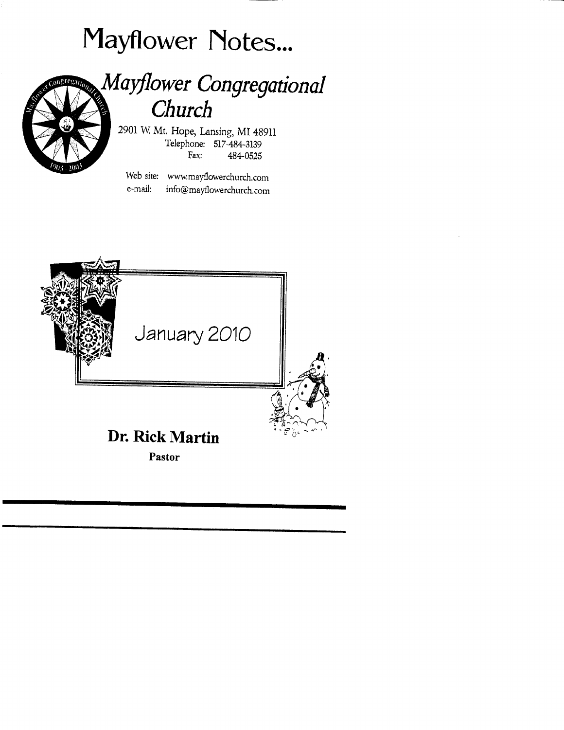



# Mayflower Congregational Church

2901W Mt. Hope, Lansing, MI489ll Telephone: 517-484-3139 Fax: 484-0525

Web site: wwwmayflowerchurch.com e-mail: info@mayllowerchurch.com

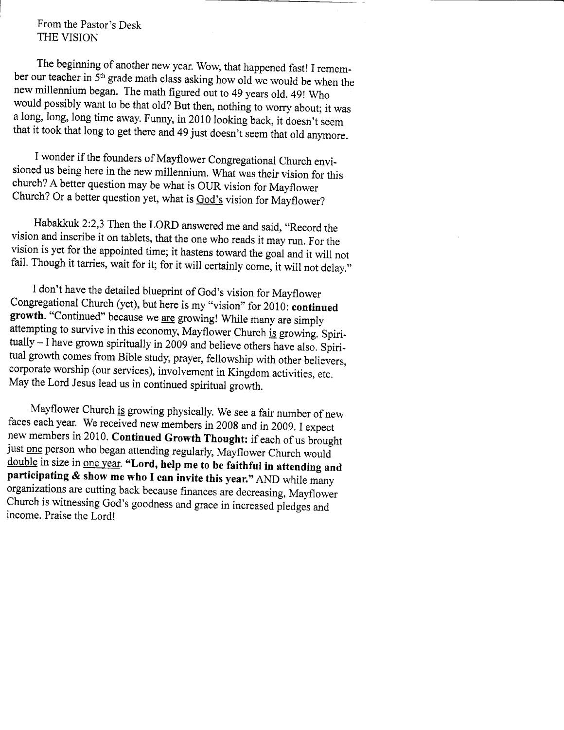From the Pastor's Desk THE VISION

The beginning of another new year. wow, that happened fast! I remember our teacher in  $5<sup>th</sup>$  grade math class asking how old we would be when the new millennium began. The math figured out to 49 years old. 49! who would possibly want to be that old? But then, nothing to worry about; it was a long, long, long time away. Funny, in 2010 looking back, it doesn't seem that it took that long to get there and 49 just doesn't seem that old anymore.

<sup>I</sup>wonder if the founders of Mayflower congregational church envi\_ sioned us being here in the new millennium. What was their vision for this church? A better question may be what is OUR vision for Mayflower church? or a better question yet, what is God's vision for Mayflower?

Habakkuk 2:2,3 Then the LORD answered me and said, "Record the vision and inscribe it on tablets, that the one who reads it may run. For the fail. Though it tarries, wait for it; for it will certainly come, it will not delay."

I don't have the detailed blueprint of God's vision for Mayflower Congregational Church (yet), but here is my "vision" for 2010: continued growth. "Continued" because we are growing! While many are simply attempting to survive in this economy, Mayflower Church is growing. Spiri $tually - I$  have grown spiritually in 2009 and believe others have also. Spiritual growth comes from Bible study, prayer, fellowship with other believers, corporate worship (our services), involvement in Kingdom activities, etc, May the Lord Jesus lead us in continued spiritual growth.

Mayflower church is growing physically. we see a fair number of new faces each year. We received new members in 2008 and in 2009. I expect<br>new members in 2010. Continued Growth Thought: if each of us brought just <u>one</u> person who began attending regularly, Mayflower Church would<br>double in size in <u>one year</u>. "Lord, help me to be faithful in attending and participating  $\&$  show me who I can invite this year." AND while many organizations are cutting back because finances are decreasing, Mayflower Church is witnessing God's goodness and grace in increased pledges and income. Praise the Lord!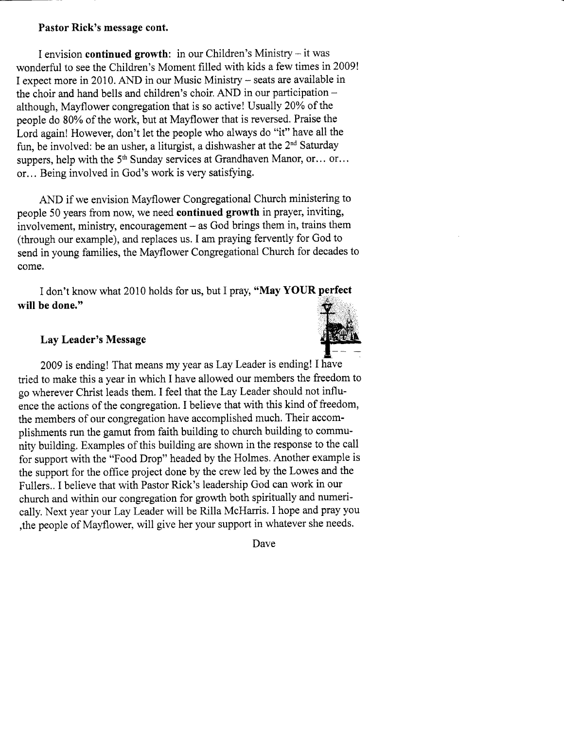### Pastor Rick's message cont.

I envision continued growth: in our Children's Ministry - it was wonderful to see the Children's Moment filled with kids a few times in 2009! I expect more in 2010. AND in our Music Ministry - seats are available in the choir and hand bells and children's choir. AND in our participation although, Mayflower congregation that is so active! Usually 20Yo of the people do 80% of the work, but at Mayflower that is reversed. Praise the Lord again! However, don't let the people who always do "it" have all the fun, be involved: be an usher, a liturgist, a dishwasher at the 2"d Saturday suppers, help with the 5<sup>th</sup> Sunday services at Grandhaven Manor, or... or... or... Being involved in God's work is very satisfying.

AND if we envision Mayflower Congregational Church ministering to people 50 years from now, we need continued growth in prayer, inviting,  $involvement$ , ministry, encouragement  $-$  as God brings them in, trains them (through our example), and replaces us. I am praying fervently for God to send in young families, the Mayflower Congregational Church for decades to come.

I don't know what 2010 holds for us, but I pray, "**May YOUR perfect** will be done."

### Lay Leader's Message



2009 is ending! That means my year as Lay Leader is ending! I have tried to make this a year in which I have allowed our members the freedom to go wherever Christ leads them. I feel that the Lay Leader should not influence the actions of the congregation. I believe that with this kind of freedom, the members of our congregation have accomplished much. Their accomplishments run the gamut from faith building to church building to community building. Examples of this building are shown in the response to the call for support with the "Food Drop" headed by the Holmes. Another example is the support for the office project done by the crew led by the Lowes and the Fullers.. I believe that with Pastor Rick's leadership God can work in our church and within our congregation for growth both spiritually and numerically. Next year your Lay Leader will be Rilla McHarris. I hope and pray you ,the people of Mayflower, will give her your support in whatever she needs.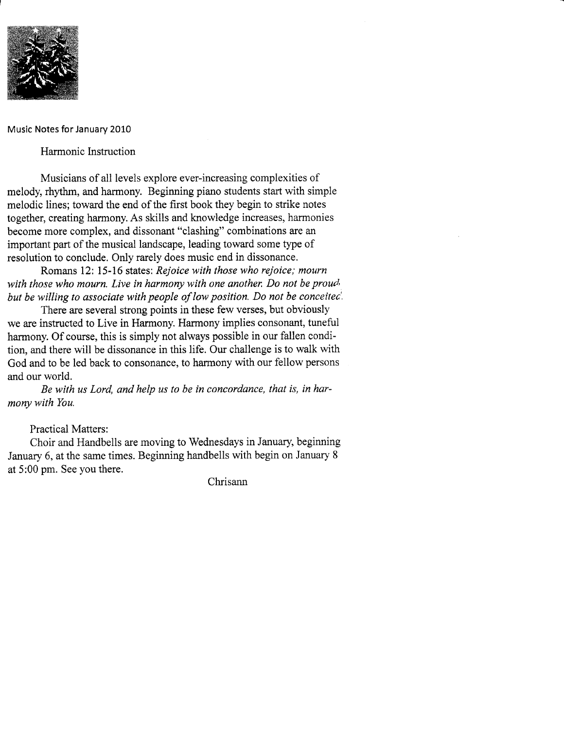

Music Notes for January 2010

Harmonic Instruction

Musicians of all levels explore ever-increasing complexities of melody, rhythm, and harmony. Beginning piano students start with simple melodic lines; toward the end of the first book they begin to strike notes together, creating harmony. As skills and knowledge increases, harmonies become more complex, and dissonant "clashing" combinations are an important part of the musical landscape, leading toward some type of resolution to conclude. Only rarely does music end in dissonance.

Romans 12: 15-16 states: Rejoice with those who rejoice; mourn with those who mourn. Live in harmony with one another. Do not be proud. but be willing to associate with people of low position. Do not be conceitec'

There are several strong points in these few verses, but obviously we are instructed to Live in Harmony. Harmony implies consonant, tuneful harmony. Of course, this is simply not always possible in our fallen condition, and there will be dissonance in this life. Our challenge is to walk with God and to be led back to consonance, to harmony with our fellow persons and our world.

Be with us Lord, and help us to be in concordance, that is, in harmony with You.

Practical Matters:

Choir and Handbells are moving to Wednesdays in January, beginning January 6, at the same times. Beginning handbells with begin on January <sup>8</sup> at 5:00 pm. See you there.

Chrisann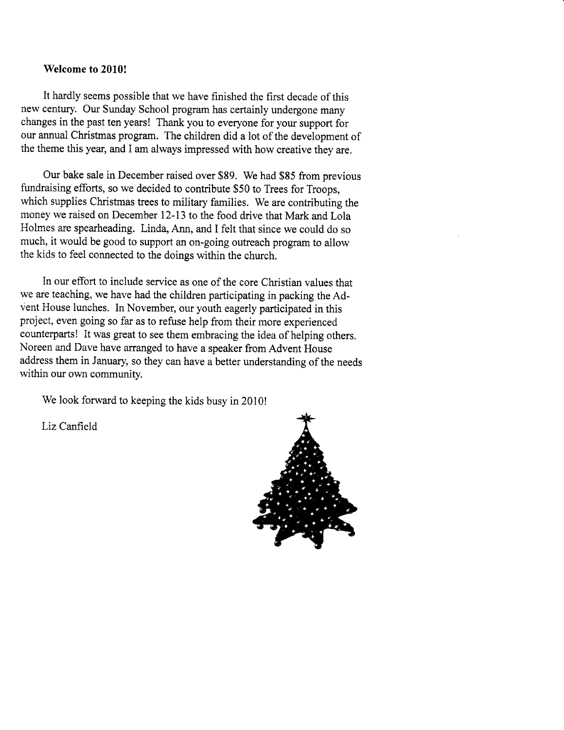#### Welcome to 2010!

It hardly seems possible that we have finished the first decade of this new century. Our Sunday School program has certainly undergone many changes in the past ten years! Thank you to everyone for your support for our annual Christmas program. The children did a lot of the development of the theme this year, and I am always impressed with how creative they are.

Our bake sale in December raised over \$89. We had \$85 from previous fundraising efforts, so we decided to contribute \$50 to Trees for Troops, which supplies Christmas trees to military families. We are contributing the money we raised on December 12-13 to the food drive that Mark and Lola Holmes are spearheading. Linda, Ann, and I felt that since we could do so much, it would be good to support an on-going outreach program to allow the kids to feel connected to the doings within the church.

In our effort to include service as one of the core Christian values that we are teaching, we have had the children participating in packing the Advent House lunches. In November, our youth eagerly participated in this project, even going so far as to refuse help from their more experienced counterparts! It was great to see them embracing the idea of helping others. Noreen and Dave have arranged to have a speaker from Advent House address them in January, so they can have a better understanding of the needs within our own community.

We look forward to keeping the kids busy in 2010!

Liz Canfield